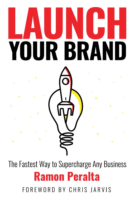# YOUR BRAND

The Fastest Way to Supercharge Any Business **Ramon Peralta** FOREWORD BY CHRIS JARVIS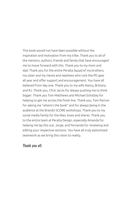This book would not have been possible without the inspiration and motivation from my tribe. Thank you to all of the mentors, authors, friends and family that have encouraged me to move forward with this. Thank you to my mom and dad. Thank you for the entire Peralta Squad of my brothers, my sister and my nieces and nephews who rock the PD gear all year and offer support and encouragement. You have all believed from day one. Thank you to my wife Nancy, Brittany and RJ. Thank you, Chris Jarvis for always pushing me to think bigger. Thank you Tom Matthews and Michael Schottey for helping to get me across the finish line. Thank you, Tom Parnon for asking me "where's the book" and for always being in the audience at the BrandU SCORE workshops. Thank you to my social media family for the likes, loves and shares. Thank you to the entire team at Peralta Design, especially Amanda for helping me lay this out, Jorge, and Fernanda for reviewing and editing your respective sections. You have all truly epitomized teamwork as we bring this vision to reality.

#### *Thank you all.*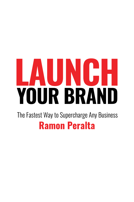# AUNCH IUR BRAN Y The Fastest Way to Supercharge Any Business

## **Ramon Peralta**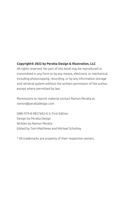#### **Copyright© 2022 by Peralta Design & Illustration, LLC**

All rights reserved. No part of this book may be reproduced or transmitted in any form or by any means, electronic or mechanical, including photocopying, recording, or by any information storage and retrieval system without the written permission of the author, except where permitted by law.

Permissions to reprint material contact Ramon Peralta at ramon@peraltadesign.com

ISBN 979-8-9857692-0-3; First Edition Design by Peralta Design Written by Ramon Peralta Edited by Tom Matthews and Michael Schottey

\* All trademarks are property of their respective owners.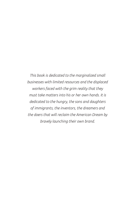*This book is dedicated to the marginalized small businesses with limited resources and the displaced workers faced with the grim reality that they must take matters into his or her own hands. It is dedicated to the hungry, the sons and daughters of immigrants, the inventors, the dreamers and the doers that will reclaim the American Dream by bravely launching their own brand.*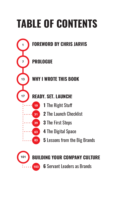# **TABLE OF CONTENTS**



Servant Leaders as Brands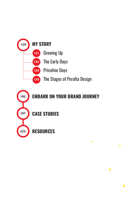

 $\bullet$ 

 $\ddag$ 

 $\bullet$ 

**CASE STUDIES**

**RESOURCES 223**

**197**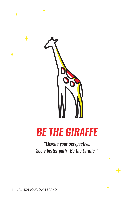

## *BE THE GIRAFFE*

*"Elevate your perspective. See a better path. Be the Giraffe."*

 $\ddag$ 

 $\bullet$ 

 $\boldsymbol{+}$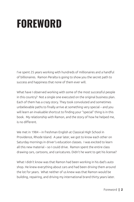# **FOREWORD**

I've spent 25 years working with hundreds of millionaires and a handful of billionaires. Ramon Peralta is going to show you the secret path to success and happiness that none of them ever will.

What have I observed working with some of the most successful people in this country? Not a single one executed on the original business plan. Each of them has a crazy story. They took convoluted and sometimes unbelievable paths to finally arrive at something very special – and you will learn an invaluable shortcut to finding your "special" thing is in this book. My relationship with Ramon, and the story of how he helped me, is no different.

We met in 1984 – in freshman English at Classical High School in Providence, Rhode Island. A year later, we got to know each other on Saturday mornings in driver's education classes. I was excited to learn all this new material – so I could drive. Ramon spent the entire class drawing cars, cartoons, and caricatures. Didn't he want to get his license?

What I didn't know was that Ramon had been working in his dad's auto shop. He knew everything about cars and had been driving them around the lot for years. What neither of us knew was that Ramon would be building, repairing, and driving my international brand thirty years later.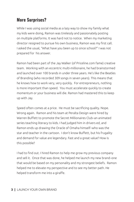## **More Surprises?**

While I was using social media as a lazy way to show my family what my kids were doing, Ramon was tirelessly and passionately posting on multiple platforms. It was hard not to notice. When my marketing director resigned to pursue his own business, Ramon was my first call. I asked the usual, "What have you been up to since school?" I was not prepared for his answer.

Ramon had been part of the Jay Walker (of Priceline.com fame) creative team. Working with an eccentric multi-millionaire, he had brainstormed and launched over 100 brands in under three years. He's like the Beatles of Branding (who recorded 309 songs in seven years). This means that he knows how to work very, very quickly. For entrepreneurs, nothing is more important than speed. You must accelerate quickly to create momentum or your business will die. Ramon had mastered this to keep up with Jay.

Speed often comes at a price. He must be sacrificing quality. Nope. Wrong again. Ramon and his team at Peralta Design were hired by Warren Buffett to promote the Secret Millionaires Club–an animated series teaching literacy to kids. I had judged him in drivers ed, and Ramon ends up drawing the Oracle of Omaha himself–who was the star and teacher in the cartoon. I don't know Buffett, but his frugality and demand for value are legendary. Fast and a great value? How is this possible?

I had to find out. I hired Ramon to help me grow my previous company and sell it. Once that was done, he helped me launch my new brand–one that would be based on my personality and my strongest beliefs. Ramon helped me to elevate my perspective and to see my better path. He helped transform me into a giraffe.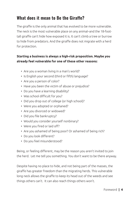## **What does it mean to Be the Giraffe?**

The giraffe is the only animal that has evolved to be more vulnerable. The neck is the most vulnerable place on any animal–and the 18-foottall giraffe can't hide how exposed it is. It can't climb a tree or burrow to hide from predators. And the giraffe does not migrate with a herd for protection.

#### **Starting a business is always a high-risk proposition. Maybe you already feel vulnerable for one of these other reasons:**

- Are you a woman living in a man's world?
- Is English your second (third or fifth) language?
- Are you a person of color?
- Have you been the victim of abuse or prejudice?
- Do you have a learning disability?
- Was school difficult for you?
- Did you drop out of college (or high school)?
- Were you adopted or orphaned?
- Are you divorced or widowed?
- Did you file bankruptcy?
- Would you consider yourself nonbinary?
- Were you fired or laid off?
- Are you ashamed of being poor? Or ashamed of being rich?
- Do you look different?
- Do you feel misunderstood?

Being, or feeling different, may be the reason you aren't invited to join the herd. Let me tell you something. You don't want to be there anyway.

Despite having no place to hide, and not being part of the masses, the giraffe has greater freedom than the migrating herds. This vulnerable long neck allows the giraffe to keep its head out of the weeds and see things others can't. It can also reach things others won't.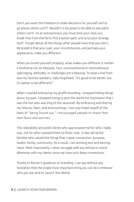Don't you want the freedom to make decisions for yourself and to go places others can't? Wouldn't it be great to be able to see paths others can't? As an entrepreneur you must stick your neck out, break free from the herd, find a better path, and strut your strange stuff. Forget about all the things other people have that you don't. Be grateful that your past, your circumstances, and perhaps your appearance, make you different.

When you brand yourself properly, what makes you different is neither a hindrance nor an obstacle. Your unconventional or nontraditional upbringing, attitudes, or challenges are a blessing. To steal a line from one my favorite speakers, Sally Hogshead, "it's good to be better, but it's better to be different!"

When I started embracing my giraffe branding, I stopped hiding things about my past. I stopped trying to give the world the impression that I was the lion who was king of the savannah. By embracing and sharing my failures, fears, and shortcomings, I not only freed myself of the fears of "being found out." I encouraged people to share their own fears and worries.

This relatability attracted clients who appreciated me for who I really was, not for who I wanted them to think I was. It also attracted families who valued the things that I value–connection, purpose, health, family, community. As a result, I am working less and earning more. Most importantly, I never struggle with any ethical or moral dilemmas with my clients–since we have such deep connections.

Thanks to Ramon's guidance on branding, I can say without any hesitation that the single most important thing you can do is embrace who you are–and to *Launch Your Brand*.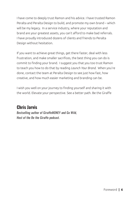I have come to deeply trust Ramon and his advice. I have trusted Ramon Peralta and Peralta Design to build, and promote my own brand – which will be my legacy. In a service industry, where your reputation and brand are your greatest assets, you can't afford to make bad referrals. I have proudly introduced dozens of clients and friends to Peralta Design without hesitation.

If you want to achieve great things, get there faster, deal with less frustration, and make smaller sacrifices, the best thing you can do is commit to finding your brand. I suggest you that you too trust Ramon to teach you how to do that by reading *Launch Your Brand*. When you're done, contact the team at Peralta Design to see just how fast, how creative, and how much easier marketing and branding can be.

I wish you well on your journey to finding yourself and sharing it with the world. Elevate your perspective. See a better path. Be the Giraffe

## **Chris Jarvis**

*Bestselling author of GiraffeMONEY and Go Wild, Host of the Be the Giraffe podcast.*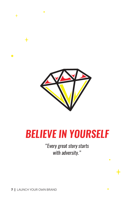

# *BELIEVE IN YOURSELF*

*"Every great story starts with adversity."*

 $\ddot{}$ 

 $\bullet$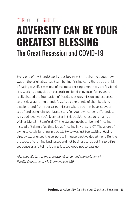## PROIOGILE **ADVERSITY CAN BE YOUR GREATEST BLESSING** The Great Recession and COVID-19

Every one of my BrandU workshops begins with me sharing about how I was on the original startup team behind Pricline.com. Shared at the risk of dating myself, it was one of the most exciting times in my professional life. Working alongside an eccentric millionaire inventor for 10 years really shaped the foundation of Peralta Design's mission and expertise to this day: launching brands fast. As a general rule of thumb, taking a major brand from your career history where you may have 'cut your teeth' and using it in your brand story for your own career differentiator is a good idea. As you'll learn later in this book\*, I chose to remain at Walker Digital in Stamford, CT, the startup incubator behind Priceline, instead of taking a full time job at Priceline in Norwalk, CT. The allure of trying to catch lightning in a bottle twice was just too exciting. Having already experienced the corporate in-house creative department life, the prospect of churning businesses and not business cards out in rapid-fire sequence as a full-time job was just too good not to pass up.

*\*For the full story of my professional career and the evolution of Peralta Design, go to My Story on page 129.*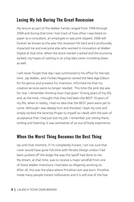## **Losing My Job During The Great Recession**

My tenure as part of the Walker Family ranged from 1998 through 2008 and during that time I lost track of how often I was listed on paper as a consultant, an employee or was pink slipped. 2008 will forever be known as the year the recession hit hard and it profoundly impacted me and everyone else who worked in innovation at Walker Digital at that time. When the stock market crashed and the economy tanked, my hopes of cashing in on a big idea came crumbling down as well.

I will never forget that day I was summoned to his office for the last time. Jay Walker, who Forbes Magazine named the New Age Edison for his genius and prowess for invention, informed me that my creative services were no longer needed. This time the pink slip was for real. I remember thinking how I had given 10 long years of my life, and, at the time, I thought that they had been the BEST 10 years of my life, when in reality, I had no idea that the BEST years were yet to come. Although I was deeply hurt and shocked, I kept my cool and simply recited the Serenity Prayer to myself as I dealt with the pain of acceptance that I had just lost my job. I remember just sitting there, smiling and listening. It was somewhat of an out-of-body experience.

## **When the Worst Thing Becomes the Best Thing**

Up until that moment, if I'm completely honest, I am not sure that I ever would have gone full-time with Peralta Design unless I had been pushed off the ledge the way this layoff had done to me. My dream, at that time, was to receive a major windfall from one of these Walker inventions I had been so diligently working on. After all, this was the place where Priceline.com was born. Priceline made many people instant millionaires and it is still one of the few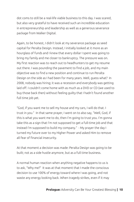dot coms to still be a real-life viable business to this day. I was scared, but also very grateful to have received such an incredible education in entrepreneurship and leadership as well as a generous severance package from Walker Digital.

Again, to be honest, I didn't look at my severance package as seed capital for Peralta Design. Instead, I initially looked at it more as an hourglass of funds and I knew that every dollar I spent was going to bring my family and me closer to bankruptcy. The pressure was on. My first reaction was to reach out to headhunters to get my resume out there. I was pounding the pavement to find a job, and my main objective was to find a new position and continue to run Peralta Design on the side as I had been for many years. Well, guess what? In 2008, nobody was hiring; it was a recession and everybody was getting laid off. I couldn't come home with as much as a DVD or CD (we used to buy those back then) without feeling guilty that I hadn't found another full time job yet.

"God, if you want me to sell my house and my cars, I will do that. I trust in you." In that same prayer, I went on to also say, "Well, God, if this is what you want me to do, then I'm going to trust you. I'm gonna take this as a sign that I'm not supposed to get a full-time job and that instead I'm supposed to build my company." - My prayer the day I turned my future over to my Higher Power and asked Him to remove all fear of financial insecurity.

At that moment a decision was made: Peralta Design was going to be built; not as a side hustle anymore, but as a full time business.

A normal human reaction when anything negative happens to us is to ask, "Why me?" It was at that moment that I made the conscious decision to use 100% of energy toward where I was going, and not waste any energy looking back. When tragedy strikes, even if it may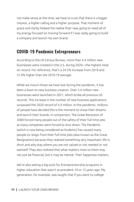not make sense at the time, we have to trust that there is a bigger mission, a higher calling and a higher purpose. That moment of grace and clarity helped me realize that I was going to need all of my energy focused on moving forward if I was really going to build a company and launch my own brand.

### **COVID-19 Pandemic Entrepreneurs**

According to the US Census Bureau, more than 4.4 million new businesses were created in the U.S. during 2020—the highest total on record. For reference, that's a 24.3% increase from 2019 and 51.0% higher than the 2010-19 average.

While we mourn those we have lost during the pandemic, it has been a boon to new business creation. Over 5.4 million new businesses were launched in 2021, which broke all previous US records. This increase in the number of new business applications surpassed the 2020 record of 4.4 million. In the pandemic, millions of people have decided this is the moment to chase their dreams and launch their brands. In comparison, The Great Recession of 2008 forced many people out of the safety of their full time jobs as many companies were forced to shut down. The Pandemic (which is now being considered an Endemic) has caused many people to resign from their full time jobs (also known as the Great Resignation) because they realized something very important: life is short and why stay where you are not valued or not needed or not wanted? They also realized that what matters most to them may not just be financial, but it may be mental. Their happiness matters.

We're also seeing a big push for Entrepreneurship programs in higher education that wasn't as prevalent 10 or 15 years ago. My generation, for example, was taught that if you went to college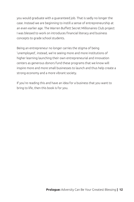you would graduate with a guaranteed job. That is sadly no longer the case. Instead we are beginning to instill a sense of entrepreneurship at an even earlier age. The Warren Buffett Secret Millionaires Club project I was blessed to work on introduces financial literacy and business concepts to grade school students.

Being an entrepreneur no longer carries the stigma of being 'unemployed', instead, we're seeing more and more institutions of higher learning launching their own entrepreneurial and innovation centers as generous donors fund these programs that we know will inspire more and more small businesses to launch and thus help create a strong economy and a more vibrant society.

If you're reading this and have an idea for a business that you want to bring to life, then this book is for you.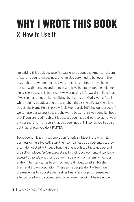## **WHY I WROTE THIS BOOK** & How to Use It

I'm writing this book because I'm passionate about the American dream of starting your own business and I'm also very much a believer in the adage that "to whom much is given, much is required." I have been blessed with many second chances and have had many people help me along the way, so this book is my way of paying it forward. I believe that if we can make a good honest living, by sharing our God-given gifts all while helping people along the way, then that is the trifecta; the triple threat; the Home Run; the Holy Grail. We're truly fulfilling our purpose if we can use our talents to leave the world better than we found it. I hope that if you are reading this, it is because you have a dream to launch your own brand, and my hope is that this book not only inspires you to do so, but that it helps you do it FASTER.

Socio-economically, first-generation American, black & brown small business owners typically start their companies at a disadvantage: they often do not start with seed funding or enough capital to get beyond the self-employed/*solo-preneur* stage in their development. Historically, access to capital, whether it be from a bank or from a family member and/or inheritance, has been much more difficult to attain for the Black and Brown population. These same people don't often have the resources to educate themselves financially, or put themselves in a better position to succeed simply because they didn't have people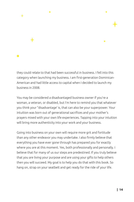

they could relate to that had been successful in business. I fell into this category when launching my business. I am first-generation Dominican-American and had little access to capital when I decided to launch my business in 2008.

 $\bullet$ 

You may be considered a disadvantaged business owner if you're a woman, a veteran, or disabled, but I'm here to remind you that whatever you think your "disadvantage' is, that can also be your superpower. Your intuition was born out of generational sacrifices and your mother's prayers mixed with your own life experiences. Tapping into your intuition will bring more authenticity into your work and your business.

Going into business on your own will require more grit and fortitude than any other endeavor you may undertake. I also firmly believe that everything you have ever gone through has prepared you for exactly where you are at this moment. Yes, both professionally and personally. I believe that for many of us our steps are predestined. If you truly believe that you are living your purpose and are using your gifts to help others then you will succeed. My goal is to help you do that with this book. So hang on, strap on your seatbelt and get ready for the ride of your life.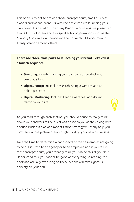This book is meant to provide those entrepreneurs, small business owners and wanna-preneurs with the basic steps to launching your own brand. It's based off the many BrandU workshops I've presented as a SCORE volunteer and as a speaker for organizations such as the Minority Construction Council and the Connecticut Department of Transportation among others.

#### **There are three main parts to launching your brand. Let's call it a launch sequence:**

- **• Branding:** Includes naming your company or product and creating a logo
- **• Digital Footprint:** Includes establishing a website and an online presence
- **• Digital Marketing:** Includes brand awareness and driving traffic to your site



Take the time to determine what aspects of the deliverables are going to be outsourced to an agency or to an employee and if you're like most entrepreneurs, you probably think you can do this all yourself. Understand this: you cannot be good at everything so reading this book and actually executing on these actions will take rigorous honesty on your part.